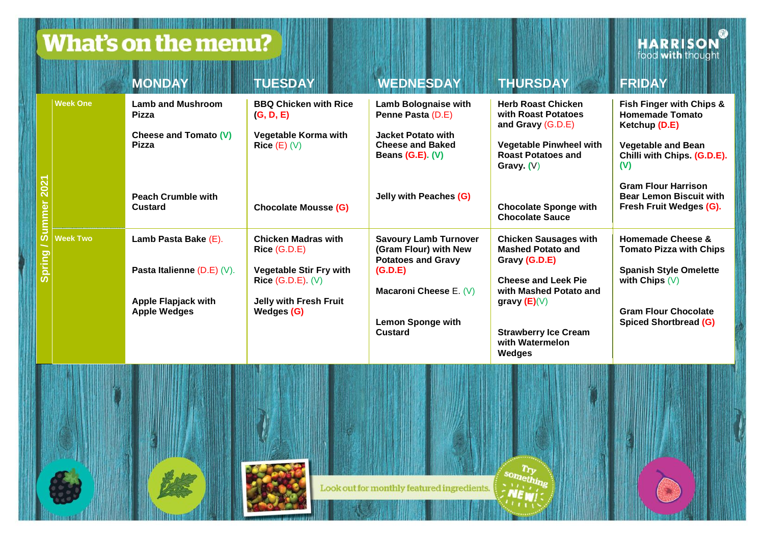## What's on the menu?

IN 1886 F. BOTTO DE LONGO DE MODELLA DE LA PROVINCIA DE L'INTERNATIONAL

**HARRISON** 

|              |                 | <b>MONDAY</b>                                                                                               | <b>TUESDAY</b>                                                                                                                      | <b>WEDNESDAY</b>                                                                                                                                        | <b>THURSDAY</b>                                                                                                                                                                                                 | FRIDAY                                                                                                                                                                                                                            |
|--------------|-----------------|-------------------------------------------------------------------------------------------------------------|-------------------------------------------------------------------------------------------------------------------------------------|---------------------------------------------------------------------------------------------------------------------------------------------------------|-----------------------------------------------------------------------------------------------------------------------------------------------------------------------------------------------------------------|-----------------------------------------------------------------------------------------------------------------------------------------------------------------------------------------------------------------------------------|
| <b>Sprin</b> | <b>Week One</b> | <b>Lamb and Mushroom</b><br>Pizza<br>Cheese and Tomato (V)<br>Pizza<br><b>Peach Crumble with</b><br>Custard | <b>BBQ Chicken with Rice</b><br>(G, D, E)<br>Vegetable Korma with<br>$Rice(E)$ (V)<br><b>Chocolate Mousse (G)</b>                   | Lamb Bolognaise with<br>Penne Pasta (D.E)<br>Jacket Potato with<br><b>Cheese and Baked</b><br>Beans (G.E). (V)<br>Jelly with Peaches (G)                | <b>Herb Roast Chicken</b><br>with Roast Potatoes<br>and Gravy (G.D.E)<br><b>Vegetable Pinwheel with</b><br><b>Roast Potatoes and</b><br>Gravy. $(V)$<br><b>Chocolate Sponge with</b><br><b>Chocolate Sauce</b>  | Fish Finger with Chips &<br><b>Homemade Tomato</b><br>Ketchup (D.E)<br><b>Vegetable and Bean</b><br>Chilli with Chips. (G.D.E).<br>(V)<br><b>Gram Flour Harrison</b><br><b>Bear Lemon Biscuit with</b><br>Fresh Fruit Wedges (G). |
|              | <b>Week Two</b> | Lamb Pasta Bake (E).<br>Pasta Italienne $(D.E)$ (V).<br>Apple Flapjack with<br><b>Apple Wedges</b>          | <b>Chicken Madras with</b><br>Rice (G.D.E)<br>Vegetable Stir Fry with<br>Rice $(G.D.E)$ (V)<br>Jelly with Fresh Fruit<br>Wedges (G) | <b>Savoury Lamb Turnover</b><br>(Gram Flour) with New<br><b>Potatoes and Gravy</b><br>(G.D.E)<br>Macaroni Cheese E. (V)<br>Lemon Sponge with<br>Custard | <b>Chicken Sausages with</b><br><b>Mashed Potato and</b><br>Gravy (G.D.E)<br><b>Cheese and Leek Pie</b><br>with Mashed Potato and<br>gravy $(E)(V)$<br><b>Strawberry Ice Cream</b><br>with Watermelon<br>Wedges | Homemade Cheese &<br><b>Tomato Pizza with Chips</b><br><b>Spanish Style Omelette</b><br>with Chips $(V)$<br><b>Gram Flour Chocolate</b><br>Spiced Shortbread (G)                                                                  |



Look out for monthly featured ingredients.

something ENEW!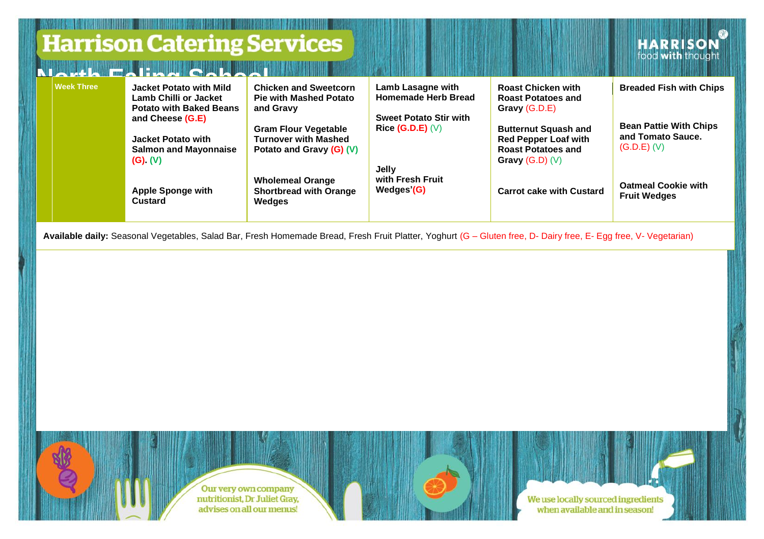|                   | <b>Harrison Catering Services</b><br>THE TIME TO BE THE TIME OF THE BURGLES                                                                                  |                                                                                                                                                                      |                                                                                                          |                                                                                                                                                                    | <b>HARRISON</b>                                                                                       |
|-------------------|--------------------------------------------------------------------------------------------------------------------------------------------------------------|----------------------------------------------------------------------------------------------------------------------------------------------------------------------|----------------------------------------------------------------------------------------------------------|--------------------------------------------------------------------------------------------------------------------------------------------------------------------|-------------------------------------------------------------------------------------------------------|
| <b>Week Three</b> | Jacket Potato with Mild<br>Lamb Chilli or Jacket<br><b>Potato with Baked Beans</b><br>and Cheese (G.E)<br>Jacket Potato with<br><b>Salmon and Mayonnaise</b> | <b>Chicken and Sweetcorn</b><br><b>Pie with Mashed Potato</b><br>and Gravy<br><b>Gram Flour Vegetable</b><br><b>Turnover with Mashed</b><br>Potato and Gravy (G) (V) | Lamb Lasagne with<br><b>Homemade Herb Bread</b><br><b>Sweet Potato Stir with</b><br>Rice $(G.D.E)$ $(V)$ | <b>Roast Chicken with</b><br><b>Roast Potatoes and</b><br>Gravy (G.D.E)<br><b>Butternut Squash and</b><br><b>Red Pepper Loaf with</b><br><b>Roast Potatoes and</b> | <b>Breaded Fish with Chips</b><br><b>Bean Pattie With Chips</b><br>and Tomato Sauce.<br>$(G.D.E)$ (V) |
|                   | $(G)$ $(V)$<br>Apple Sponge with<br>Custard                                                                                                                  | <b>Wholemeal Orange</b><br>Shortbread with Orange<br>Wedges                                                                                                          | Jelly<br>with Fresh Fruit<br>Wedges'(G)                                                                  | Gravy $(G.D)$ $(V)$<br><b>Carrot cake with Custard</b>                                                                                                             | <b>Oatmeal Cookie with</b><br><b>Fruit Wedges</b>                                                     |

**Available daily:** Seasonal Vegetables, Salad Bar, Fresh Homemade Bread, Fresh Fruit Platter, Yoghurt (G – Gluten free, D- Dairy free, E- Egg free, V- Vegetarian)